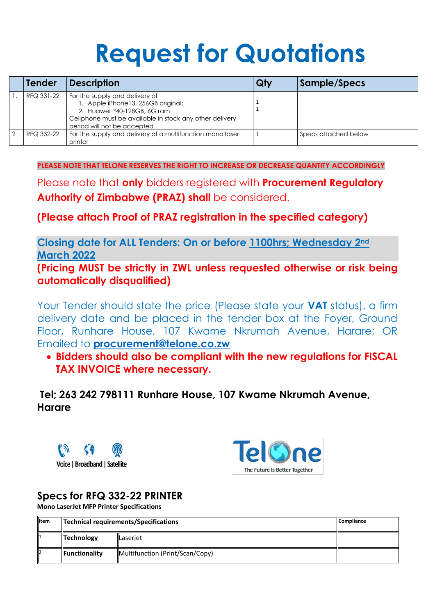# **Request for Quotations**

| <b>Tender</b> | <b>Description</b>                                                                                                                                                                            | Qty | Sample/Specs         |
|---------------|-----------------------------------------------------------------------------------------------------------------------------------------------------------------------------------------------|-----|----------------------|
| RFQ 331-22    | For the supply and delivery of<br>1. Apple iPhone13, 256GB original:<br>2. Huawei P40-128GB, 6G ram<br>Cellphone must be available in stock any other delivery<br>period will not be accepted |     |                      |
| RFQ 332-22    | For the supply and delivery of a multifunction mono laser<br>printer                                                                                                                          |     | Specs attached below |

**PLEASE NOTE THAT TELONE RESERVES THE RIGHT TO INCREASE OR DECREASE QUANTITY ACCORDINGLY**

Please note that **only** bidders registered with **Procurement Regulatory Authority of Zimbabwe (PRAZ) shall** be considered.

**(Please attach Proof of PRAZ registration in the specified category)**

**Closing date for ALL Tenders: On or before 1100hrs; Wednesday 2nd March 2022**

**(Pricing MUST be strictly in ZWL unless requested otherwise or risk being automatically disqualified)**

Your Tender should state the price (Please state your **VAT** status), a firm delivery date and be placed in the tender box at the Foyer, Ground Floor, Runhare House, 107 Kwame Nkrumah Avenue, Harare; OR Emailed to **[procurement@telone.co.zw](mailto:procurement@telone.co.zw)**

 **Bidders should also be compliant with the new regulations for FISCAL TAX INVOICE where necessary.**

**Tel; 263 242 798111 Runhare House, 107 Kwame Nkrumah Avenue, Harare**





The Future Is Better Together

# **Specs for RFQ 332-22 PRINTER**

**Mono LaserJet MFP Printer Specifications**

| <b>Iltem</b> |                 | <b>Compliance</b><br>Technical requirements/Specifications |  |  |
|--------------|-----------------|------------------------------------------------------------|--|--|
|              | $\ $ Technology | Laserjet                                                   |  |  |
| 12           | Functionality   | Multifunction (Print/Scan/Copy)                            |  |  |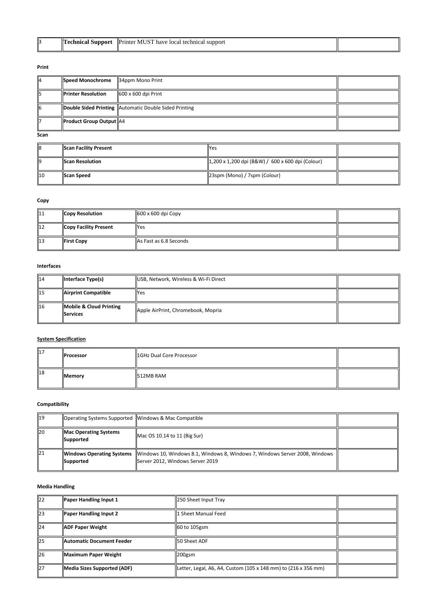| 13 | mnor<br>71 I | <b>IPrinter</b><br>have<br>rchnicai<br>' suppor∟<br>Tocal |  |
|----|--------------|-----------------------------------------------------------|--|
|----|--------------|-----------------------------------------------------------|--|

#### **Print**

| 114 | Speed Monochrome                        | 34ppm Mono Print                                               |  |
|-----|-----------------------------------------|----------------------------------------------------------------|--|
| ll5 | <b>Printer Resolution</b>               | $\left\vert 600 \times 600 \right\vert$ Print                  |  |
| 6   |                                         | <b>Double Sided Printing   Automatic Double Sided Printing</b> |  |
| 117 | $\vert$ Product Group Output $\vert$ A4 |                                                                |  |

**Scan** 

| 8              | Scan Facility Present | <b>P</b> es                                                                                                                                  |  |
|----------------|-----------------------|----------------------------------------------------------------------------------------------------------------------------------------------|--|
| ll9            | Scan Resolution       | $\left  \frac{1}{200 \times 1,200 \text{ dpi} \left( \text{B\&W} \right)} \right  / 600 \times 600 \text{ dpi} \left( \text{Colour} \right)$ |  |
| $\parallel$ 10 | <b>IScan Speed</b>    | 23spm (Mono) / 7spm (Colour)                                                                                                                 |  |

#### **Copy**

| $\parallel$ 11 | <b>Copy Resolution</b>       | $\left  600 \times 600 \right $ Copy |  |
|----------------|------------------------------|--------------------------------------|--|
| $\parallel$ 12 | <b>Copy Facility Present</b> | <b>IYes</b>                          |  |
| $\parallel$ 13 | <b>First Copy</b>            | As Fast as 6.8 Seconds               |  |

#### **Interfaces**

| $\parallel$ 14 | $\ $ Interface Type(s)                      | USB, Network, Wireless & Wi-Fi Direct |  |
|----------------|---------------------------------------------|---------------------------------------|--|
| $\vert$ 15     | Airprint Compatible                         | <b>Yes</b>                            |  |
| 16             | Mobile & Cloud Printing<br><b>IServices</b> | Apple AirPrint, Chromebook, Mopria    |  |

# **System Specification**

| ll17 | <b>Processor</b> | 1GHz Dual Core Processor |  |
|------|------------------|--------------------------|--|
| 18   | <b>Memory</b>    | 512MB RAM                |  |

# **Compatibility**

| ll 19 | Operating Systems Supported   Windows & Mac Compatible |                                                                                                                 |  |
|-------|--------------------------------------------------------|-----------------------------------------------------------------------------------------------------------------|--|
| 20    | Mac Operating Systems<br>Supported                     | $Mac$ OS 10.14 to 11 (Big Sur)                                                                                  |  |
| 21    | Windows Operating Systems<br>Supported                 | Windows 10, Windows 8.1, Windows 8, Windows 7, Windows Server 2008, Windows<br>Server 2012, Windows Server 2019 |  |

# **Media Handling**

| $\mathsf{I}22$ | Paper Handling Input 1      | 250 Sheet Input Tray                                           |  |
|----------------|-----------------------------|----------------------------------------------------------------|--|
| 23             | Paper Handling Input 2      | 1 Sheet Manual Feed                                            |  |
| 24             | <b>ADF Paper Weight</b>     | 60 to 105gsm                                                   |  |
| 25             | Automatic Document Feeder   | <b>ISO Sheet ADF</b>                                           |  |
| 26             | Maximum Paper Weight        | $\vert$ 200gsm                                                 |  |
| 27             | Media Sizes Supported (ADF) | Letter, Legal, A6, A4, Custom (105 x 148 mm) to (216 x 356 mm) |  |